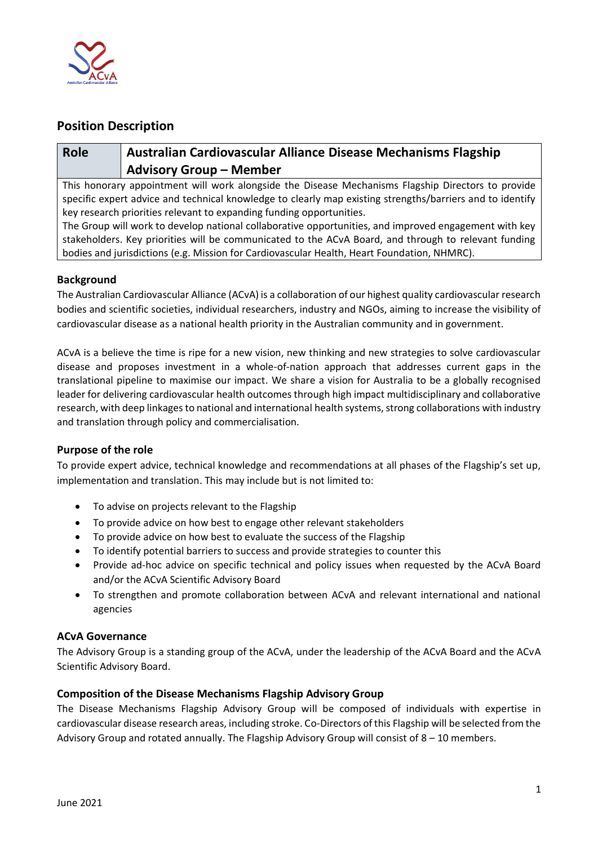

## **Position Description**

# **Role Australian Cardiovascular Alliance Disease Mechanisms Flagship Advisory Group – Member**

This honorary appointment will work alongside the Disease Mechanisms Flagship Directors to provide specific expert advice and technical knowledge to clearly map existing strengths/barriers and to identify key research priorities relevant to expanding funding opportunities.

The Group will work to develop national collaborative opportunities, and improved engagement with key stakeholders. Key priorities will be communicated to the ACvA Board, and through to relevant funding bodies and jurisdictions (e.g. Mission for Cardiovascular Health, Heart Foundation, NHMRC).

### **Background**

The Australian Cardiovascular Alliance (ACvA) is a collaboration of our highest quality cardiovascular research bodies and scientific societies, individual researchers, industry and NGOs, aiming to increase the visibility of cardiovascular disease as a national health priority in the Australian community and in government.

ACvA is a believe the time is ripe for a new vision, new thinking and new strategies to solve cardiovascular disease and proposes investment in a whole-of-nation approach that addresses current gaps in the translational pipeline to maximise our impact. We share a vision for Australia to be a globally recognised leader for delivering cardiovascular health outcomes through high impact multidisciplinary and collaborative research, with deep linkages to national and international health systems, strong collaborations with industry and translation through policy and commercialisation.

#### **Purpose of the role**

To provide expert advice, technical knowledge and recommendations at all phases of the Flagship's set up, implementation and translation. This may include but is not limited to:

- To advise on projects relevant to the Flagship
- To provide advice on how best to engage other relevant stakeholders
- To provide advice on how best to evaluate the success of the Flagship
- To identify potential barriers to success and provide strategies to counter this
- Provide ad-hoc advice on specific technical and policy issues when requested by the ACvA Board and/or the ACvA Scientific Advisory Board
- To strengthen and promote collaboration between ACvA and relevant international and national agencies

#### **ACvA Governance**

The Advisory Group is a standing group of the ACvA, under the leadership of the ACvA Board and the ACvA Scientific Advisory Board.

#### **Composition of the Disease Mechanisms Flagship Advisory Group**

The Disease Mechanisms Flagship Advisory Group will be composed of individuals with expertise in cardiovascular disease research areas, including stroke. Co-Directors of this Flagship will be selected from the Advisory Group and rotated annually. The Flagship Advisory Group will consist of  $8 - 10$  members.